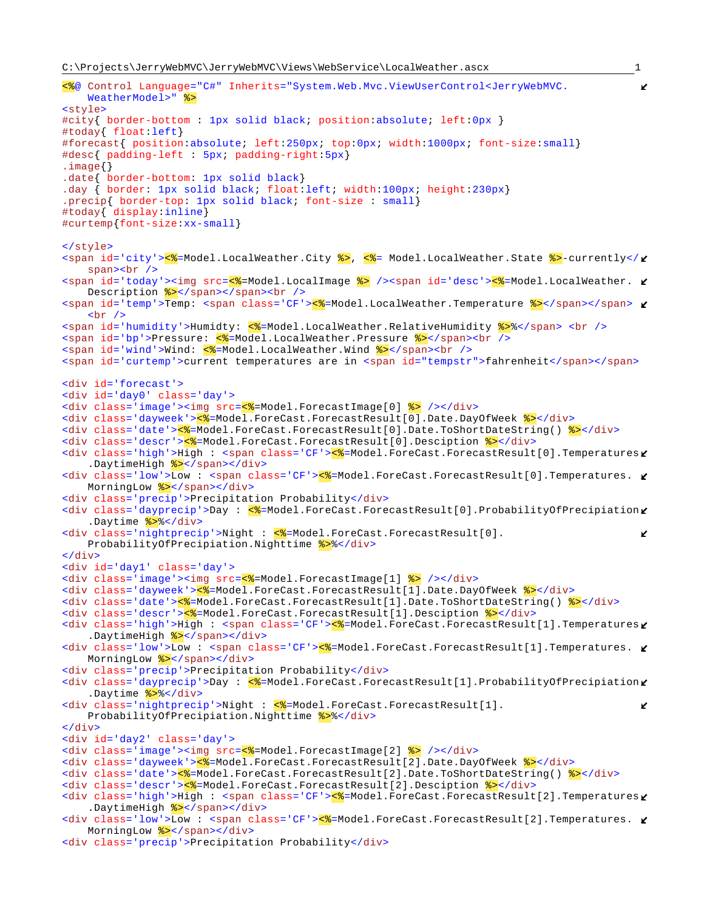```
<%@ Control Language="C#" Inherits="System.Web.Mvc.ViewUserControl<JerryWebMVC.
   WeatherModel>" %>
<style>
#city{ border-bottom : 1px solid black; position:absolute; left:0px }
#today{ float:left}
#forecast{ position:absolute; left:250px; top:0px; width:1000px; font-size:small}
#desc{ padding-left : 5px; padding-right:5px}
.image{}
.date{ border-bottom: 1px solid black}
.day { border: 1px solid black; float:left; width:100px; height:230px}
.precip{ border-top: 1px solid black; font-size : small}
#today{ display:inline}
#curtemp{font-size:xx-small}
</style>
<span id='city'><%=Model.LocalWeather.City %>, <%= Model.LocalWeather.State %>-currently</\mathcal{L}span><br />
<span id='today'><img src=<%=Model.LocalImage %> /><span id='desc'><%=Model.LocalWeather.
   Description \frac{2}{5} </span></span><br />>
<span id='temp'>Temp: <span class='CF'><%=Model.LocalWeather.Temperature %></span></span>
    \text{chr} />
<span id='humidity'>Humidty: <%=Model.LocalWeather.RelativeHumidity %>%</span> <br />
<span id='bp'>Pressure: <<sepanded.LocalWeather.Pressure %></span><br />>/>/>
<span id='wind'>Wind: <%=Model.LocalWeather.Wind %></span><br />>/>>
<span id='curtemp'>current temperatures are in <span id="tempstr">fahrenheit</span></span>
<div id='forecast'>
<div id='day0' class='day'>
<div class='image'><img src=<%=Model.ForecastImage[0] %> /></div>
<div class='dayweek'><%=Model.ForeCast.ForecastResult[0].Date.DayOfWeek %></div>
<div class='date'><%=Model.ForeCast.ForecastResult[0].Date.ToShortDateString() %></div>
<div class='descr'><%=Model.ForeCast.ForecastResult[0].Desciption %></div>
<div class='high'>High : <span class='CF'><%=Model.ForeCast.ForecastResult[0].Temperatures
    .DaytimeHigh %></span></div>
<div class='low'>Low : <span class='CF'><%=Model.ForeCast.ForecastResult[0].Temperatures. \mathcal{L}MorningLow \frac{8}{5} </span></div>
<div class='precip'>Precipitation Probability</div>
<div class='dayprecip'>Day : <%=Model.ForeCast.ForecastResult[0].ProbabilityOfPrecipiation
    .Daytime %>%</div>
\langlediv class='nightprecip'>Night : \langle%=Model.ForeCast.ForecastResult[0].
                                                                                              K.
   ProbabilityOfPrecipiation.Nighttime %>%</div>
</div>
<div id='day1' class='day'>
<div class='image'><img src=<%=Model.ForecastImage[1] %> /></div>
<div class='dayweek'><%=Model.ForeCast.ForecastResult[1].Date.DayOfWeek %></div>
<div class='date'><%=Model.ForeCast.ForecastResult[1].Date.ToShortDateString() %></div>
<div class='descr'><%=Model.ForeCast.ForecastResult[1].Desciption %></div>
<div class='high'>High : <span class='CF'><mark><%</mark>=Model.ForeCast.ForecastResult[1].Temperatures
    .DaytimeHigh %></span></div>
\langlediv class='low'>Low : <span class='CF'>\langle%=Model.ForeCast.ForecastResult[1].Temperatures.
   MorningLow %></span></div>
<div class='precip'>Precipitation Probability</div>
<div class='dayprecip'>Day : <%=Model.ForeCast.ForecastResult[1].ProbabilityOfPrecipiation
    .Daytime %>%</div>
\langlediv class='nightprecip'>Night : \langle%=Model.ForeCast.ForecastResult[1].
                                                                                              K.
   ProbabilityOfPrecipiation.Nighttime %>%</div>
</div>
<div id='day2' class='day'>
<div class='image'><img src=<%=Model.ForecastImage[2] %> /></div>
<div class='dayweek'><%=Model.ForeCast.ForecastResult[2].Date.DayOfWeek %></div>
<div class='date'><%=Model.ForeCast.ForecastResult[2].Date.ToShortDateString() %></div>
<div class='descr'><%=Model.ForeCast.ForecastResult[2].Desciption %></div>
<div class='high'>High : <span class='CF'><mark><%</mark>=Model.ForeCast.ForecastResult[2].Temperatures
    .DaytimeHigh %></span></div>
<div class='low'>Low : <span class='CF'><%=Model.ForeCast.ForecastResult[2].Temperatures. \blacktrianglerightMorningLow %></span></div>
```

```
<div class='precip'>Precipitation Probability</div>
```